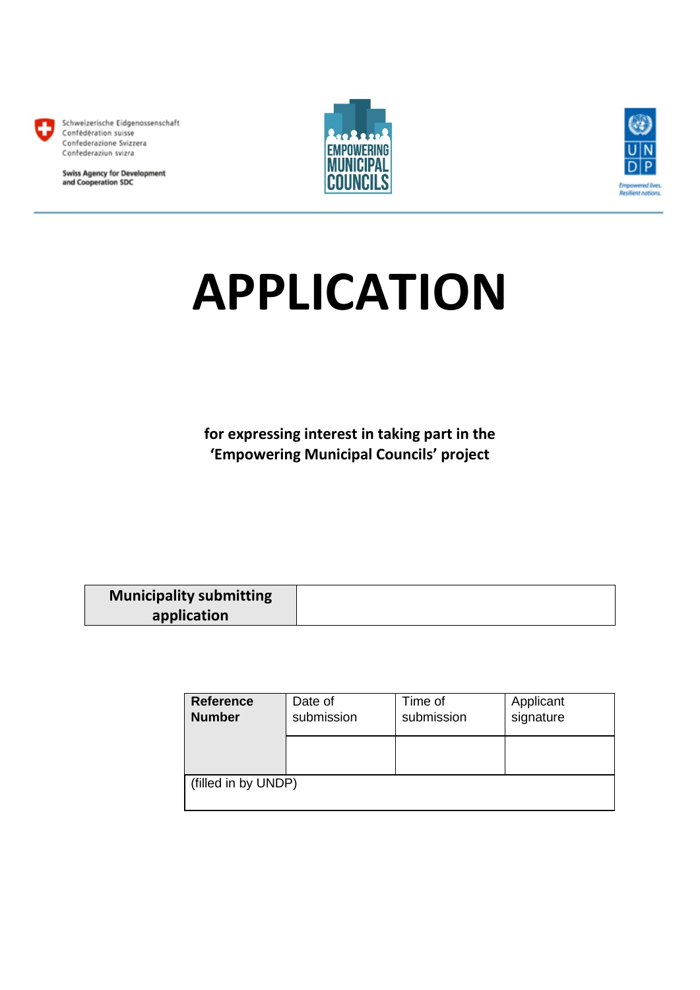

Schweizerische Eidgenossenschaft Confédération suisse Confederazione Svizzera Confederaziun svizra

**Swiss Agency for Development<br>and Cooperation SDC** 





# **APPLICATION**

**for expressing interest in taking part in the 'Empowering Municipal Councils' project**

| <b>Municipality submitting</b> |  |
|--------------------------------|--|
| application                    |  |

| <b>Reference</b><br><b>Number</b> | Date of<br>submission | Time of<br>submission | Applicant<br>signature |
|-----------------------------------|-----------------------|-----------------------|------------------------|
|                                   |                       |                       |                        |
| (filled in by UNDP)               |                       |                       |                        |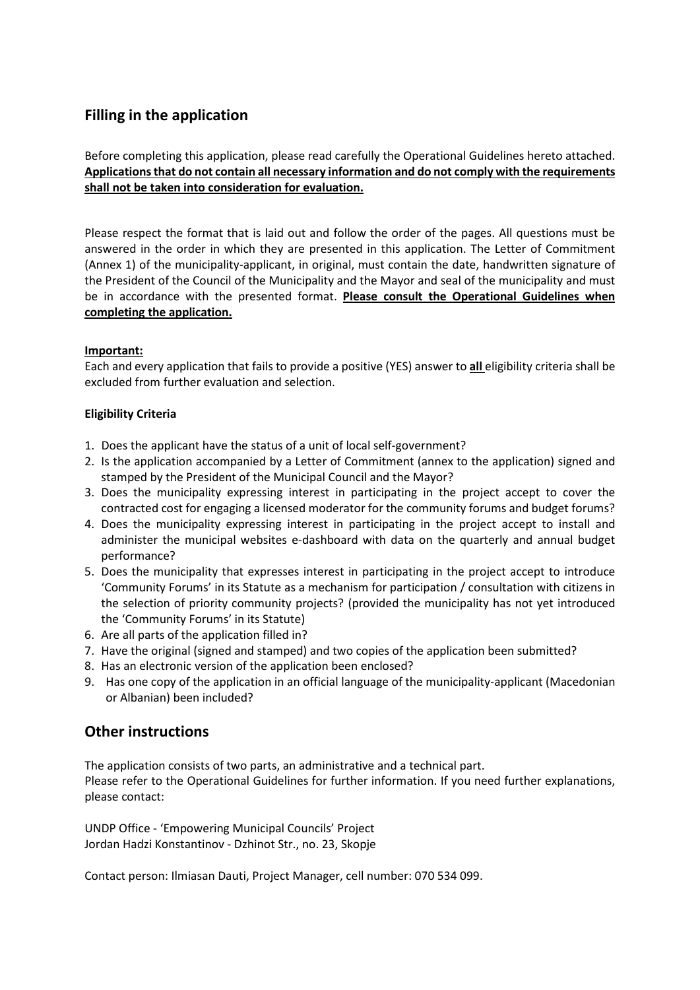# **Filling in the application**

Before completing this application, please read carefully the Operational Guidelines hereto attached. **Applications that do not contain all necessary information and do not comply with the requirements shall not be taken into consideration for evaluation.**

Please respect the format that is laid out and follow the order of the pages. All questions must be answered in the order in which they are presented in this application. The Letter of Commitment (Annex 1) of the municipality-applicant, in original, must contain the date, handwritten signature of the President of the Council of the Municipality and the Mayor and seal of the municipality and must be in accordance with the presented format. **Please consult the Operational Guidelines when completing the application.**

### **Important:**

Each and every application that fails to provide a positive (YES) answer to **all** eligibility criteria shall be excluded from further evaluation and selection.

### **Eligibility Criteria**

- 1. Does the applicant have the status of a unit of local self-government?
- 2. Is the application accompanied by a Letter of Commitment (annex to the application) signed and stamped by the President of the Municipal Council and the Mayor?
- 3. Does the municipality expressing interest in participating in the project accept to cover the contracted cost for engaging a licensed moderator for the community forums and budget forums?
- 4. Does the municipality expressing interest in participating in the project accept to install and administer the municipal websites e-dashboard with data on the quarterly and annual budget performance?
- 5. Does the municipality that expresses interest in participating in the project accept to introduce 'Community Forums' in its Statute as a mechanism for participation / consultation with citizens in the selection of priority community projects? (provided the municipality has not yet introduced the 'Community Forums' in its Statute)
- 6. Are all parts of the application filled in?
- 7. Have the original (signed and stamped) and two copies of the application been submitted?
- 8. Has an electronic version of the application been enclosed?
- 9. Has one copy of the application in an official language of the municipality-applicant (Macedonian or Albanian) been included?

## **Other instructions**

The application consists of two parts, an administrative and a technical part. Please refer to the Operational Guidelines for further information. If you need further explanations, please contact:

UNDP Office - 'Empowering Municipal Councils' Project Jordan Hadzi Konstantinov - Dzhinot Str., no. 23, Skopje

Contact person: Ilmiasan Dauti, Project Manager, cell number: 070 534 099.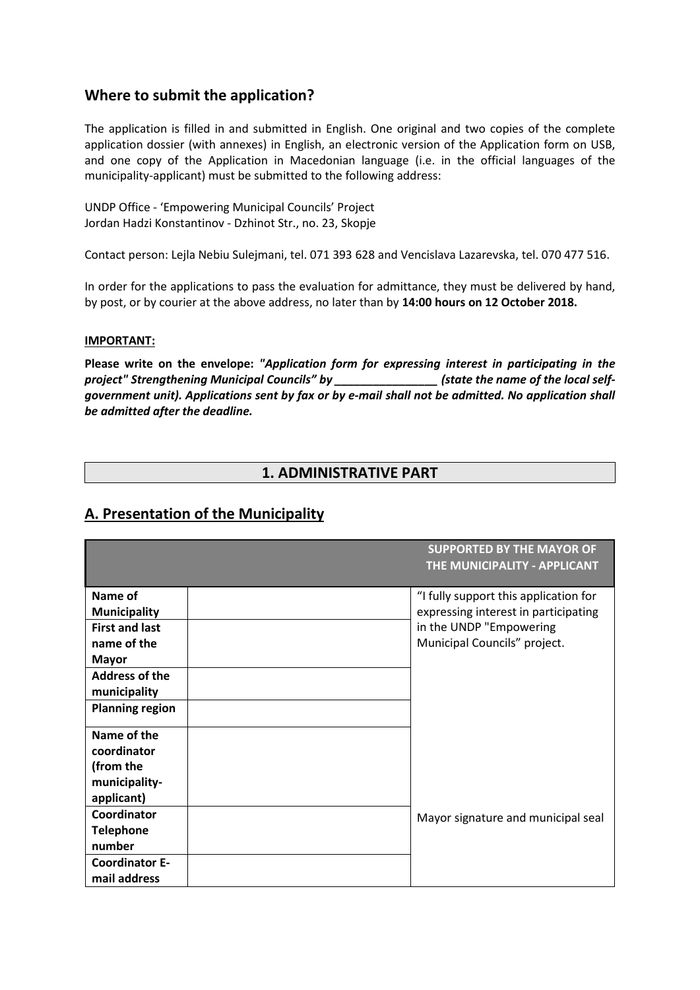## **Where to submit the application?**

The application is filled in and submitted in English. One original and two copies of the complete application dossier (with annexes) in English, an electronic version of the Application form on USB, and one copy of the Application in Macedonian language (i.e. in the official languages of the municipality-applicant) must be submitted to the following address:

UNDP Office - 'Empowering Municipal Councils' Project Jordan Hadzi Konstantinov - Dzhinot Str., no. 23, Skopje

Contact person: Lejla Nebiu Sulejmani, tel. 071 393 628 and Vencislava Lazarevska, tel. 070 477 516.

In order for the applications to pass the evaluation for admittance, they must be delivered by hand, by post, or by courier at the above address, no later than by **14:00 hours on 12 October 2018.**

#### **IMPORTANT:**

**Please write on the envelope:** *"Application form for expressing interest in participating in the project" Strengthening Municipal Councils" by \_\_\_\_\_\_\_\_\_\_\_\_\_\_\_\_ (state the name of the local selfgovernment unit). Applications sent by fax or by e-mail shall not be admitted. No application shall be admitted after the deadline.*

## **1. ADMINISTRATIVE PART**

# **A. Presentation of the Municipality**

|                                       | <b>SUPPORTED BY THE MAYOR OF</b><br><b>THE MUNICIPALITY - APPLICANT</b> |
|---------------------------------------|-------------------------------------------------------------------------|
| Name of                               | "I fully support this application for                                   |
| <b>Municipality</b>                   | expressing interest in participating                                    |
| <b>First and last</b>                 | in the UNDP "Empowering                                                 |
| name of the                           | Municipal Councils" project.                                            |
| <b>Mayor</b>                          |                                                                         |
| <b>Address of the</b>                 |                                                                         |
| municipality                          |                                                                         |
| <b>Planning region</b>                |                                                                         |
| Name of the                           |                                                                         |
| coordinator                           |                                                                         |
| (from the                             |                                                                         |
| municipality-                         |                                                                         |
| applicant)                            |                                                                         |
| Coordinator                           | Mayor signature and municipal seal                                      |
| <b>Telephone</b>                      |                                                                         |
| number                                |                                                                         |
| <b>Coordinator E-</b><br>mail address |                                                                         |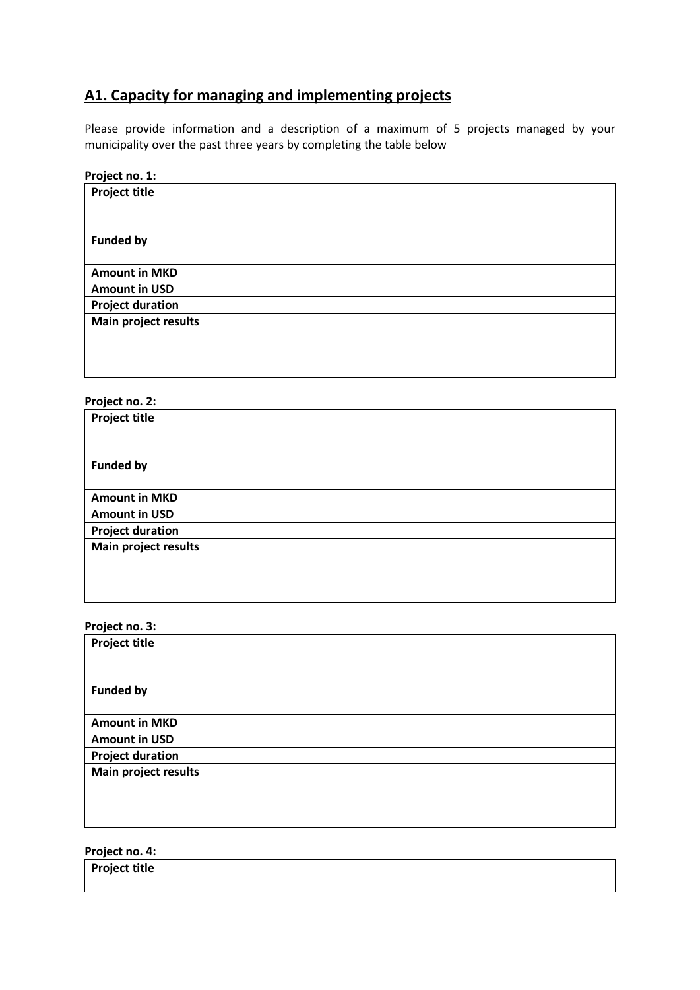# **А1. Capacity for managing and implementing projects**

Please provide information and a description of a maximum of 5 projects managed by your municipality over the past three years by completing the table below

| Project no. 1:          |  |
|-------------------------|--|
| <b>Project title</b>    |  |
|                         |  |
| <b>Funded by</b>        |  |
| <b>Amount in MKD</b>    |  |
| <b>Amount in USD</b>    |  |
| <b>Project duration</b> |  |
| Main project results    |  |
|                         |  |
|                         |  |
|                         |  |

## **Project no. 2:**

| <b>Project title</b>    |  |
|-------------------------|--|
|                         |  |
| <b>Funded by</b>        |  |
|                         |  |
| <b>Amount in MKD</b>    |  |
| <b>Amount in USD</b>    |  |
| <b>Project duration</b> |  |
| Main project results    |  |
|                         |  |
|                         |  |
|                         |  |
|                         |  |

#### **Project no. 3:**

| <b>Project title</b>    |  |
|-------------------------|--|
|                         |  |
| <b>Funded by</b>        |  |
| <b>Amount in MKD</b>    |  |
| <b>Amount in USD</b>    |  |
| <b>Project duration</b> |  |
| Main project results    |  |
|                         |  |

## **Project no. 4:**

| <b>Project title</b> |  |
|----------------------|--|
|                      |  |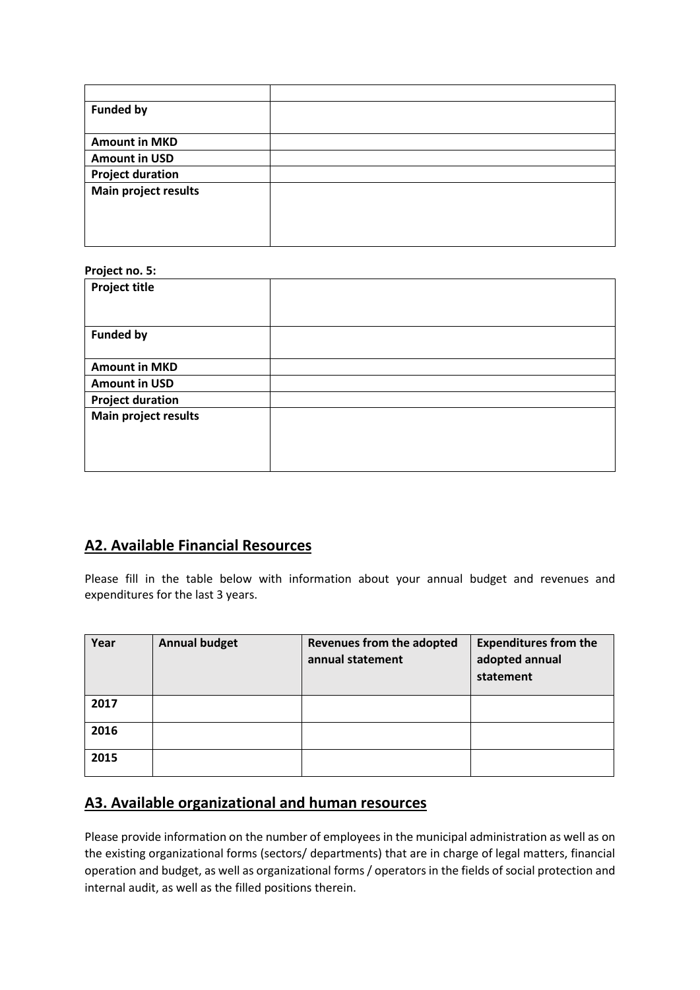| <b>Funded by</b>        |  |
|-------------------------|--|
|                         |  |
| <b>Amount in MKD</b>    |  |
| <b>Amount in USD</b>    |  |
| <b>Project duration</b> |  |
| Main project results    |  |
|                         |  |
|                         |  |
|                         |  |

## **Project no. 5:**

| <b>Project title</b>    |  |
|-------------------------|--|
|                         |  |
| <b>Funded by</b>        |  |
|                         |  |
| <b>Amount in MKD</b>    |  |
| <b>Amount in USD</b>    |  |
| <b>Project duration</b> |  |
| Main project results    |  |
|                         |  |
|                         |  |
|                         |  |
|                         |  |

# **A2. Available Financial Resources**

Please fill in the table below with information about your annual budget and revenues and expenditures for the last 3 years.

| Year | <b>Annual budget</b> | <b>Revenues from the adopted</b><br>annual statement | <b>Expenditures from the</b><br>adopted annual<br>statement |
|------|----------------------|------------------------------------------------------|-------------------------------------------------------------|
| 2017 |                      |                                                      |                                                             |
| 2016 |                      |                                                      |                                                             |
| 2015 |                      |                                                      |                                                             |

# **A3. Available organizational and human resources**

Please provide information on the number of employees in the municipal administration as well as on the existing organizational forms (sectors/ departments) that are in charge of legal matters, financial operation and budget, as well as organizational forms / operators in the fields of social protection and internal audit, as well as the filled positions therein.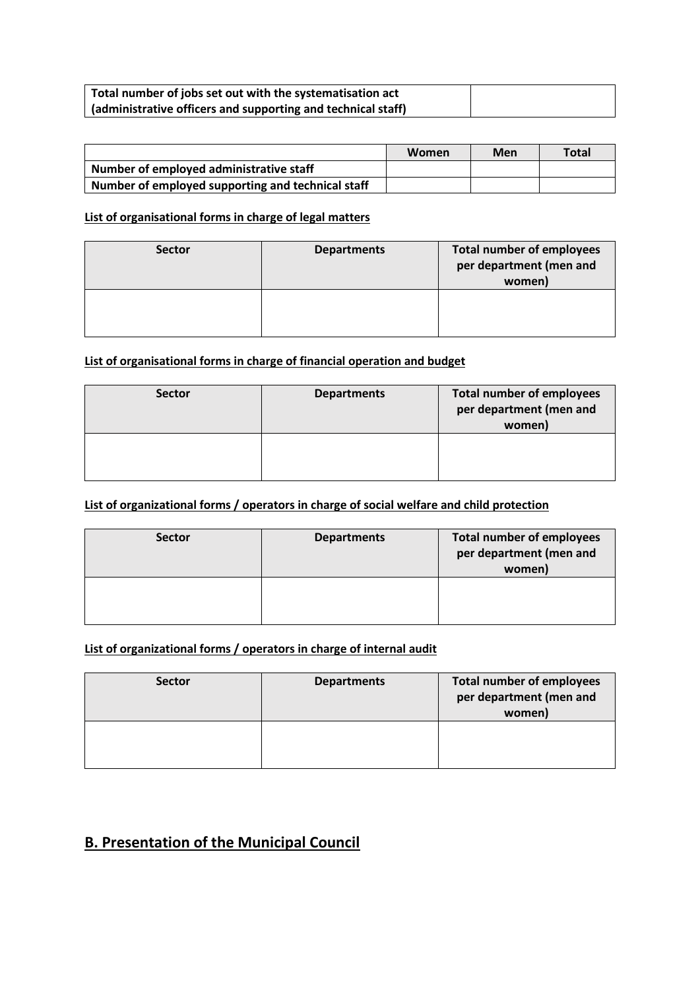| Total number of jobs set out with the systematisation act    |  |
|--------------------------------------------------------------|--|
| (administrative officers and supporting and technical staff) |  |

|                                                   | Women | Men | <b>Total</b> |
|---------------------------------------------------|-------|-----|--------------|
| Number of employed administrative staff           |       |     |              |
| Number of employed supporting and technical staff |       |     |              |

## **List of organisational forms in charge of legal matters**

| <b>Sector</b> | <b>Departments</b> | <b>Total number of employees</b><br>per department (men and<br>women) |
|---------------|--------------------|-----------------------------------------------------------------------|
|               |                    |                                                                       |

## **List of organisational forms in charge of financial operation and budget**

| <b>Sector</b> | <b>Departments</b> | <b>Total number of employees</b><br>per department (men and<br>women) |
|---------------|--------------------|-----------------------------------------------------------------------|
|               |                    |                                                                       |

## **List of organizational forms / operators in charge of social welfare and child protection**

| <b>Sector</b> | <b>Departments</b> | <b>Total number of employees</b><br>per department (men and<br>women) |
|---------------|--------------------|-----------------------------------------------------------------------|
|               |                    |                                                                       |

## **List of organizational forms / operators in charge of internal audit**

| <b>Sector</b> | <b>Departments</b> | <b>Total number of employees</b><br>per department (men and<br>women) |
|---------------|--------------------|-----------------------------------------------------------------------|
|               |                    |                                                                       |

# **B. Presentation of the Municipal Council**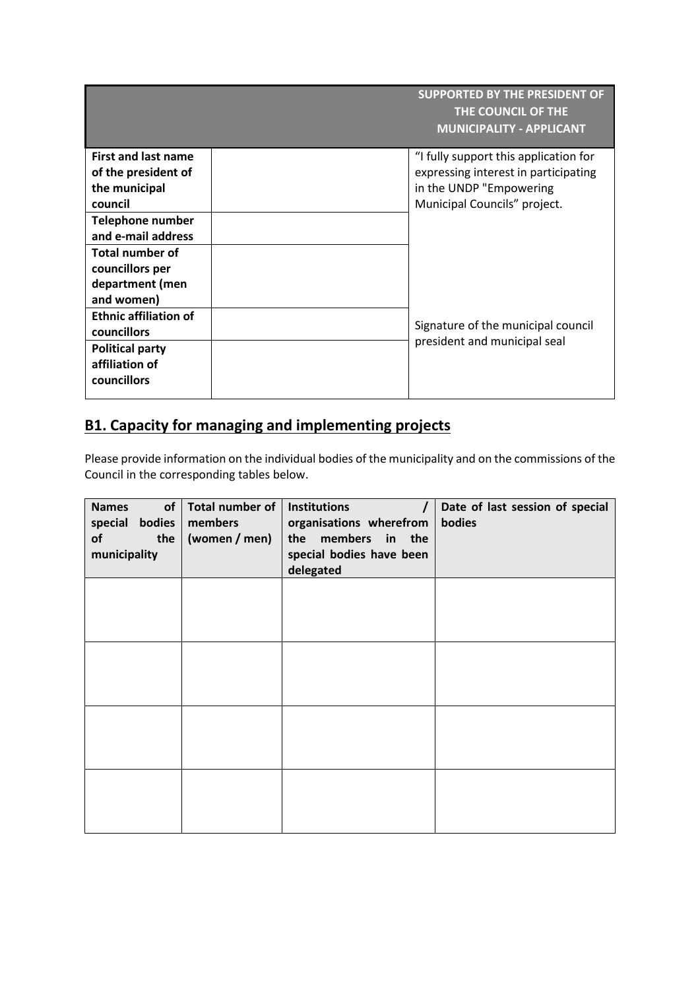**SUPPORTED BY THE PRESIDENT OF THE COUNCIL OF THE MUNICIPALITY - APPLICANT**

| <b>First and last name</b><br>of the president of<br>the municipal<br>council | "I fully support this application for<br>expressing interest in participating<br>in the UNDP "Empowering<br>Municipal Councils" project. |
|-------------------------------------------------------------------------------|------------------------------------------------------------------------------------------------------------------------------------------|
| <b>Telephone number</b><br>and e-mail address                                 |                                                                                                                                          |
| <b>Total number of</b><br>councillors per<br>department (men<br>and women)    |                                                                                                                                          |
| <b>Ethnic affiliation of</b><br>councillors<br><b>Political party</b>         | Signature of the municipal council<br>president and municipal seal                                                                       |
| affiliation of<br>councillors                                                 |                                                                                                                                          |

# **B1. Capacity for managing and implementing projects**

Please provide information on the individual bodies of the municipality and on the commissions of the Council in the corresponding tables below.

| of<br><b>Names</b><br>bodies<br>special<br>of<br>the<br>municipality | Total number of<br>members<br>(women / men) | <b>Institutions</b><br>organisations wherefrom<br>the members in the<br>special bodies have been<br>delegated | Date of last session of special<br>bodies |
|----------------------------------------------------------------------|---------------------------------------------|---------------------------------------------------------------------------------------------------------------|-------------------------------------------|
|                                                                      |                                             |                                                                                                               |                                           |
|                                                                      |                                             |                                                                                                               |                                           |
|                                                                      |                                             |                                                                                                               |                                           |
|                                                                      |                                             |                                                                                                               |                                           |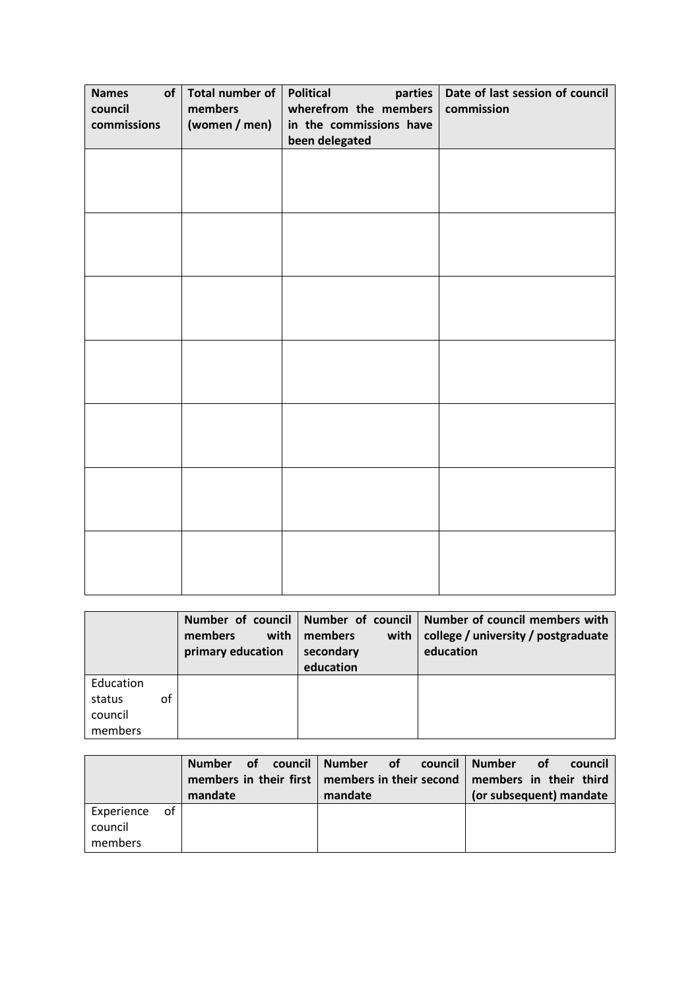| <b>Names</b><br>of<br>council<br>commissions | Total number of<br>members<br>(women / men) | <b>Political</b><br>parties<br>wherefrom the members<br>in the commissions have<br>been delegated | Date of last session of council<br>commission |
|----------------------------------------------|---------------------------------------------|---------------------------------------------------------------------------------------------------|-----------------------------------------------|
|                                              |                                             |                                                                                                   |                                               |
|                                              |                                             |                                                                                                   |                                               |
|                                              |                                             |                                                                                                   |                                               |
|                                              |                                             |                                                                                                   |                                               |
|                                              |                                             |                                                                                                   |                                               |
|                                              |                                             |                                                                                                   |                                               |
|                                              |                                             |                                                                                                   |                                               |

|                                                 | with  <br>members<br>primary education | with $\vert$<br>members<br>secondary<br>education | Number of council   Number of council   Number of council members with<br>college / university / postgraduate<br>education |
|-------------------------------------------------|----------------------------------------|---------------------------------------------------|----------------------------------------------------------------------------------------------------------------------------|
| Education<br>of<br>status<br>council<br>members |                                        |                                                   |                                                                                                                            |

|                                     | of <b>o</b><br><b>Number</b><br>mandate | council   Number of council   Number<br>members in their first   members in their second  <br>mandate | <b>⊘</b> of<br>council<br>members in their third<br>(or subsequent) mandate |
|-------------------------------------|-----------------------------------------|-------------------------------------------------------------------------------------------------------|-----------------------------------------------------------------------------|
| Experience of<br>council<br>members |                                         |                                                                                                       |                                                                             |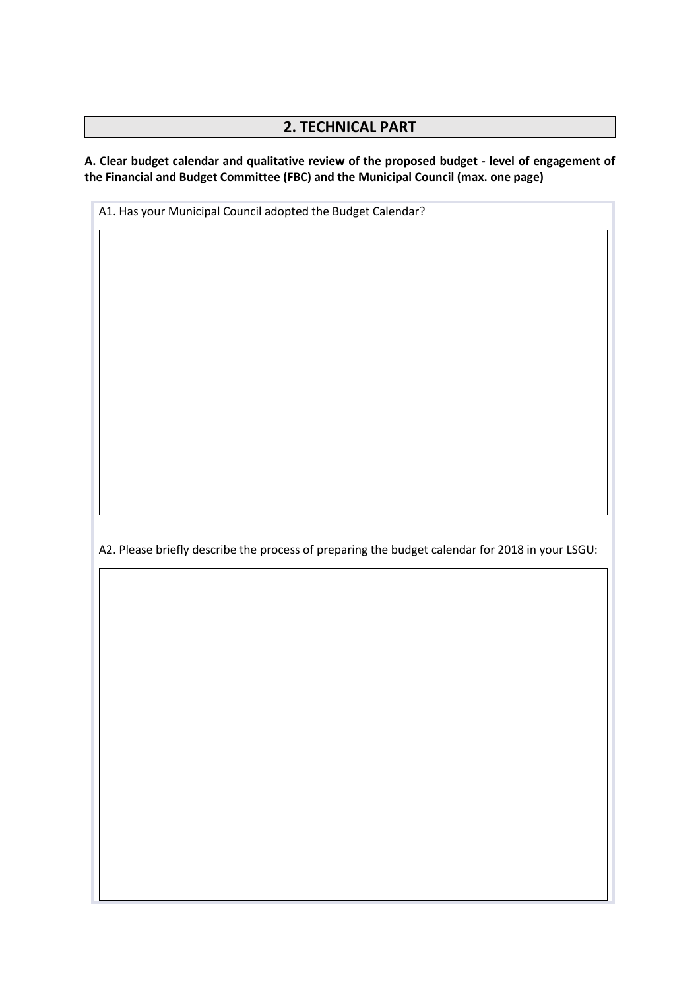## **2. TECHNICAL PART**

**A. Clear budget calendar and qualitative review of the proposed budget - level of engagement of the Financial and Budget Committee (FBC) and the Municipal Council (max. one page)**

A1. Has your Municipal Council adopted the Budget Calendar?

А2. Please briefly describe the process of preparing the budget calendar for 2018 in your LSGU: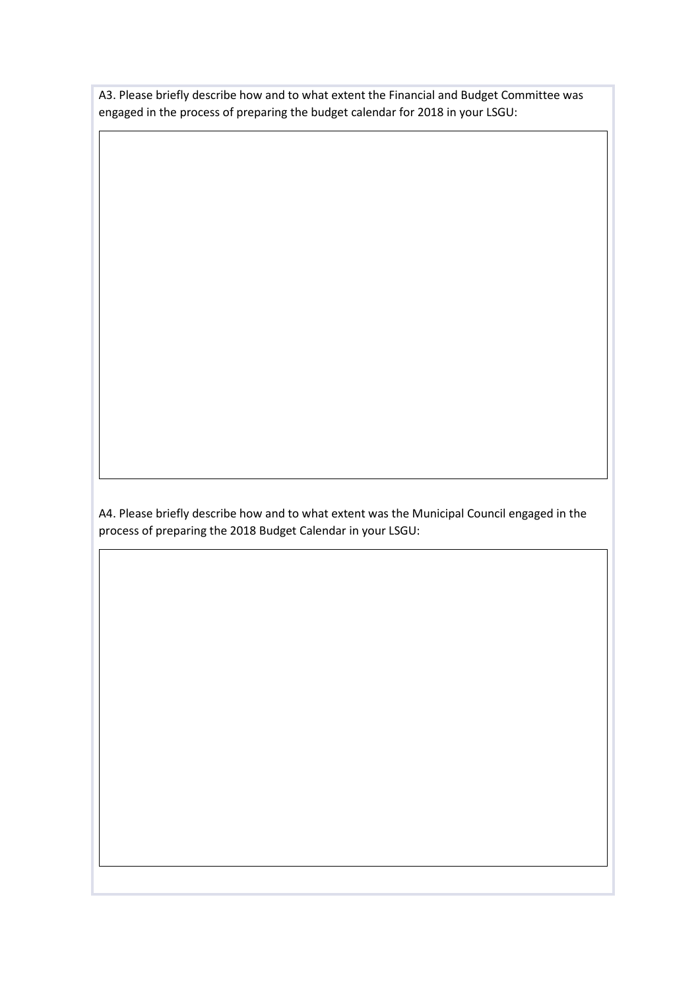A3. Please briefly describe how and to what extent the Financial and Budget Committee was engaged in the process of preparing the budget calendar for 2018 in your LSGU:

А4. Please briefly describe how and to what extent was the Municipal Council engaged in the process of preparing the 2018 Budget Calendar in your LSGU: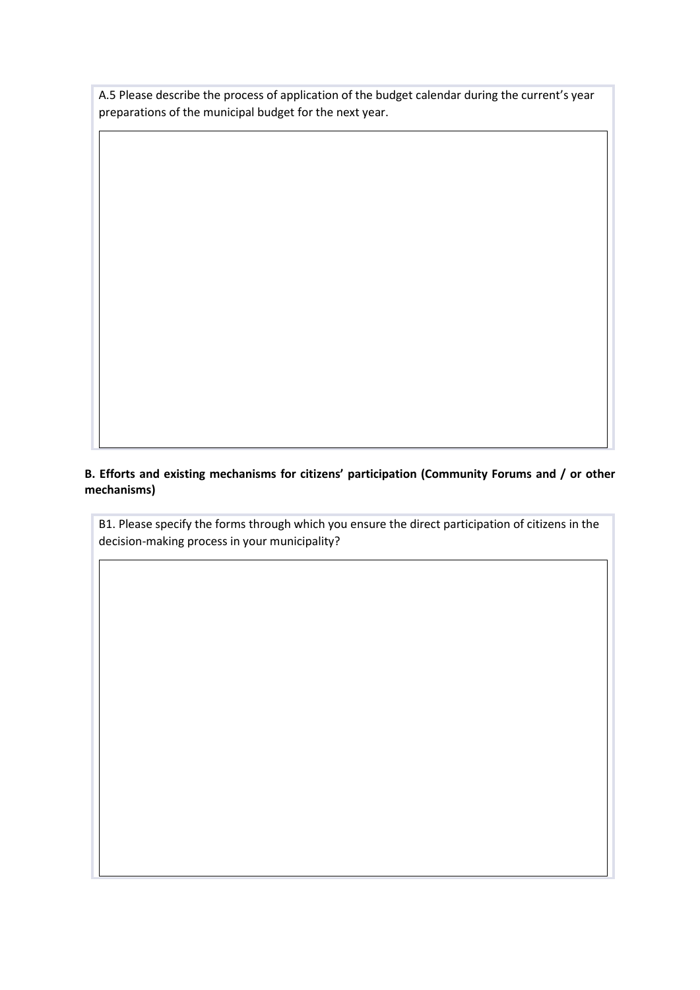A.5 Please describe the process of application of the budget calendar during the current's year preparations of the municipal budget for the next year.

**B. Efforts and existing mechanisms for citizens' participation (Community Forums and / or other mechanisms)**

B1. Please specify the forms through which you ensure the direct participation of citizens in the decision-making process in your municipality?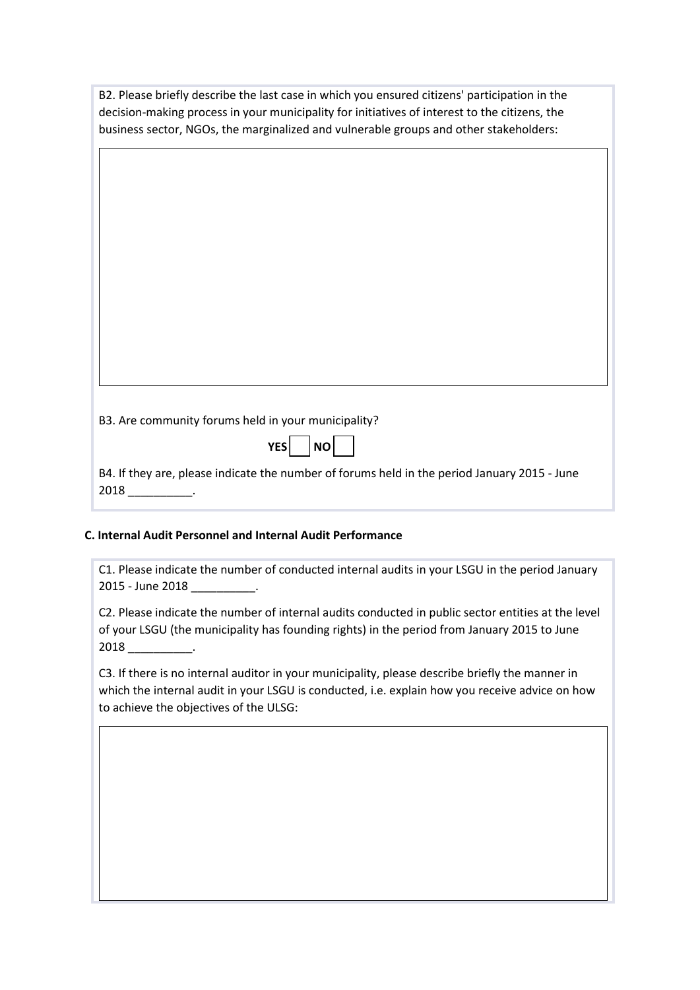B2. Please briefly describe the last case in which you ensured citizens' participation in the decision-making process in your municipality for initiatives of interest to the citizens, the business sector, NGOs, the marginalized and vulnerable groups and other stakeholders:

B3. Are community forums held in your municipality?

|  | Ю<br>V |  |  |
|--|--------|--|--|
|--|--------|--|--|

B4. If they are, please indicate the number of forums held in the period January 2015 - June 2018 \_\_\_\_\_\_\_\_\_\_.

#### **C. Internal Audit Personnel and Internal Audit Performance**

C1. Please indicate the number of conducted internal audits in your LSGU in the period January 2015 - June 2018 \_\_\_\_\_\_\_\_\_\_.

C2. Please indicate the number of internal audits conducted in public sector entities at the level of your LSGU (the municipality has founding rights) in the period from January 2015 to June 2018 \_\_\_\_\_\_\_\_\_\_.

C3. If there is no internal auditor in your municipality, please describe briefly the manner in which the internal audit in your LSGU is conducted, i.e. explain how you receive advice on how to achieve the objectives of the ULSG: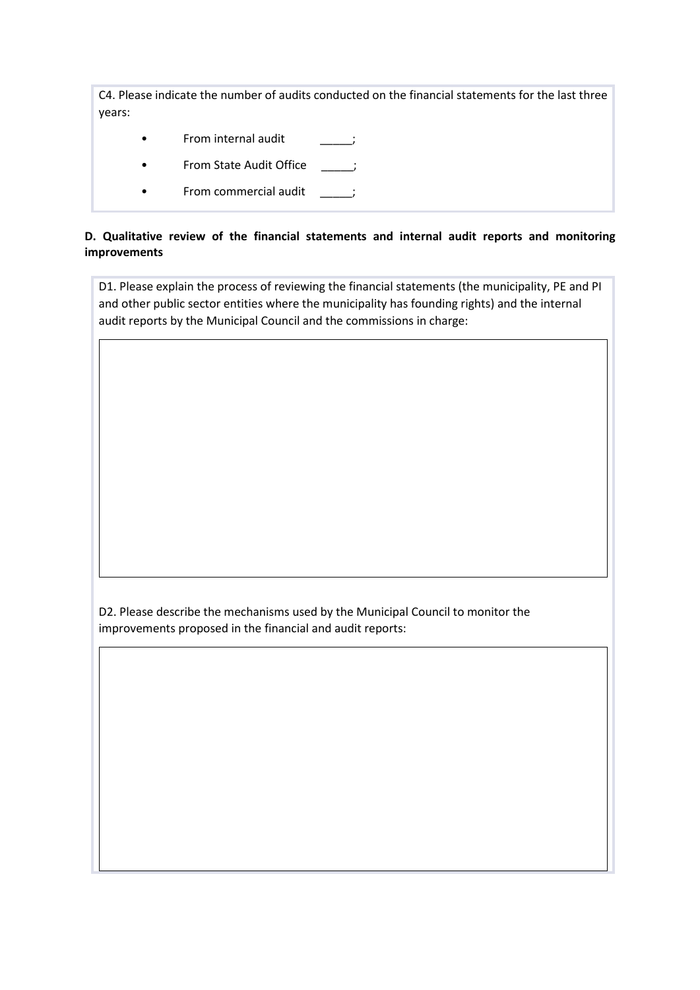C4. Please indicate the number of audits conducted on the financial statements for the last three years:

- From internal audit [100]
- From State Audit Office \_\_\_\_;
- From commercial audit \_\_\_\_\_;

## **D. Qualitative review of the financial statements and internal audit reports and monitoring improvements**

D1. Please explain the process of reviewing the financial statements (the municipality, PE and PI and other public sector entities where the municipality has founding rights) and the internal audit reports by the Municipal Council and the commissions in charge:

D2. Please describe the mechanisms used by the Municipal Council to monitor the improvements proposed in the financial and audit reports: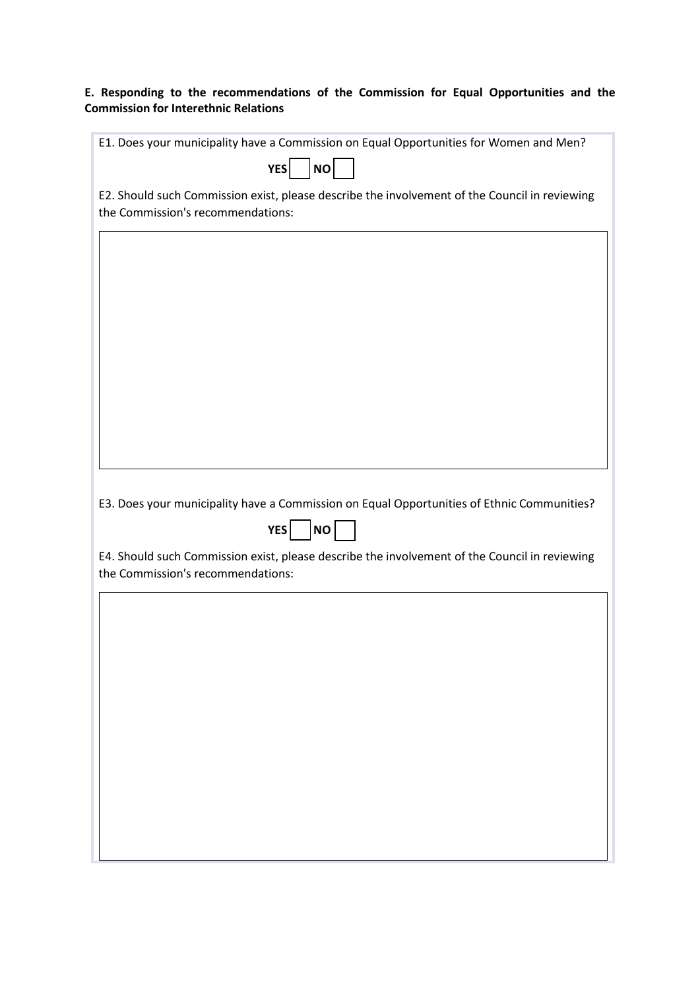## **E. Responding to the recommendations of the Commission for Equal Opportunities and the Commission for Interethnic Relations**

| E1. Does your municipality have a Commission on Equal Opportunities for Women and Men?                                             |
|------------------------------------------------------------------------------------------------------------------------------------|
| NO<br><b>YES</b>                                                                                                                   |
| E2. Should such Commission exist, please describe the involvement of the Council in reviewing<br>the Commission's recommendations: |
|                                                                                                                                    |
|                                                                                                                                    |
|                                                                                                                                    |
|                                                                                                                                    |
|                                                                                                                                    |
|                                                                                                                                    |
|                                                                                                                                    |
|                                                                                                                                    |
| E3. Does your municipality have a Commission on Equal Opportunities of Ethnic Communities?                                         |
| <b>YES</b><br>NO                                                                                                                   |
| E4. Should such Commission exist, please describe the involvement of the Council in reviewing<br>the Commission's recommendations: |
|                                                                                                                                    |
|                                                                                                                                    |
|                                                                                                                                    |
|                                                                                                                                    |
|                                                                                                                                    |
|                                                                                                                                    |
|                                                                                                                                    |
|                                                                                                                                    |
|                                                                                                                                    |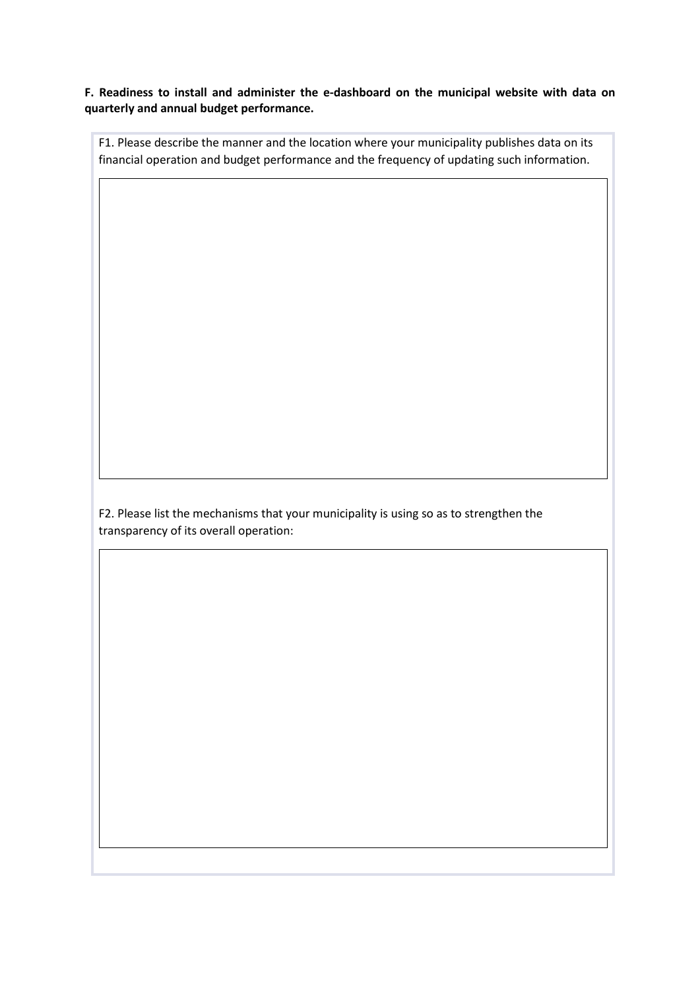**F. Readiness to install and administer the e-dashboard on the municipal website with data on quarterly and annual budget performance.**

F1. Please describe the manner and the location where your municipality publishes data on its financial operation and budget performance and the frequency of updating such information.

F2. Please list the mechanisms that your municipality is using so as to strengthen the transparency of its overall operation: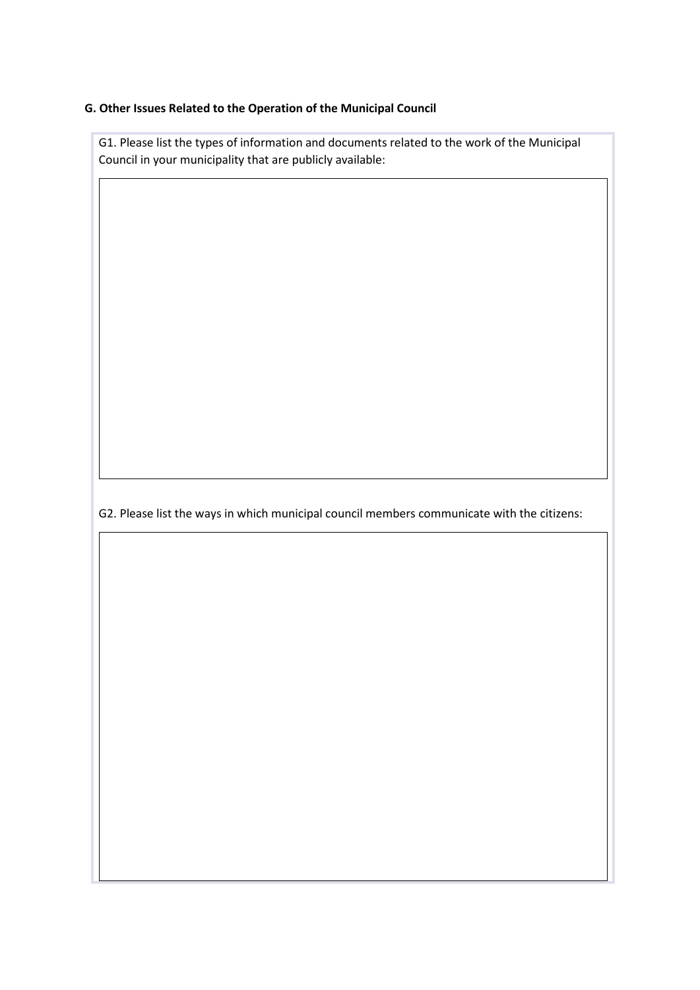#### **G. Other Issues Related to the Operation of the Municipal Council**

G1. Please list the types of information and documents related to the work of the Municipal Council in your municipality that are publicly available:

G2. Please list the ways in which municipal council members communicate with the citizens: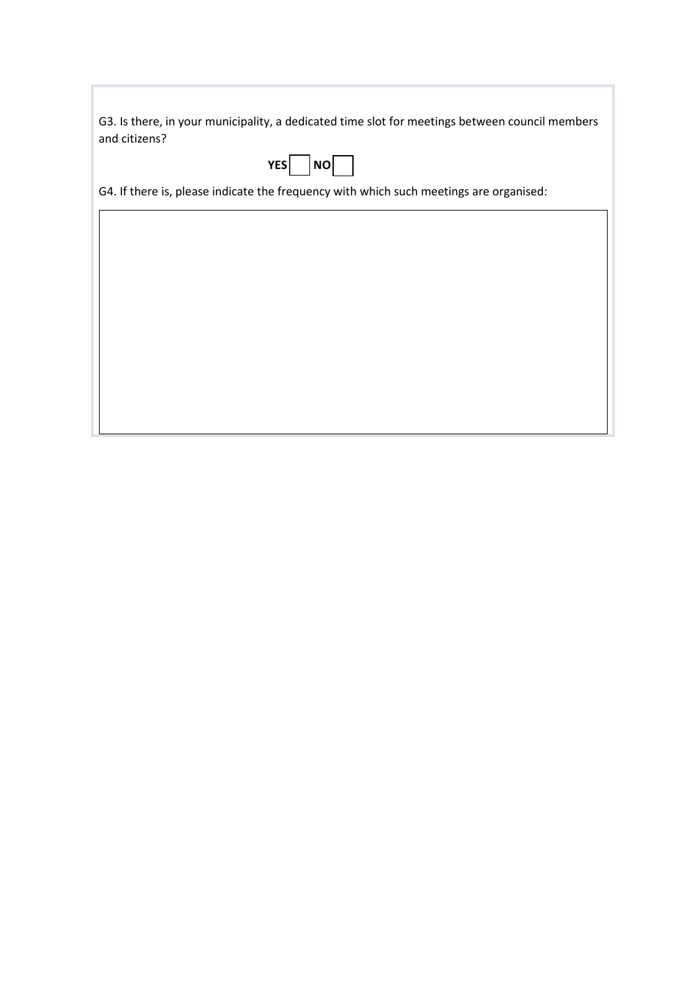G3. Is there, in your municipality, a dedicated time slot for meetings between council members and citizens?

|--|--|--|--|

G4. If there is, please indicate the frequency with which such meetings are organised: